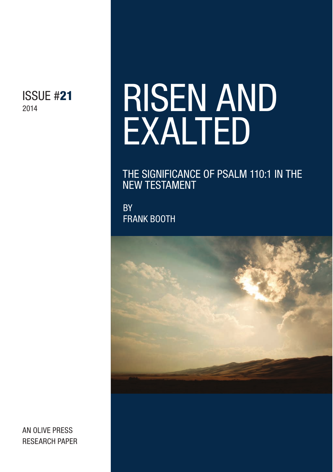ISSUE #21 2014

# RISEN AND EXALTED

THE SIGNIFICANCE OF PSALM 110:1 IN THE NEW TESTAMENT

**BY** FRANK BOOTH



AN OLIVE PRESS RESEARCH PAPER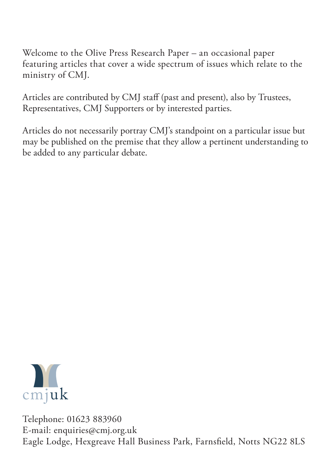Welcome to the Olive Press Research Paper – an occasional paper featuring articles that cover a wide spectrum of issues which relate to the ministry of CMJ.

Articles are contributed by CMJ staff (past and present), also by Trustees, Representatives, CMJ Supporters or by interested parties.

Articles do not necessarily portray CMJ's standpoint on a particular issue but may be published on the premise that they allow a pertinent understanding to be added to any particular debate.



Telephone: 01623 883960 E-mail: enquiries@cmj.org.uk Eagle Lodge, Hexgreave Hall Business Park, Farnsfeld, Notts NG22 8LS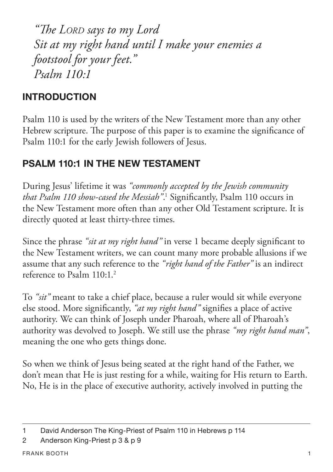*"Te LORD says to my Lord Sit at my right hand until I make your enemies a footstool for your feet." Psalm 110:1*

# **INTRODUCTION**

Psalm 110 is used by the writers of the New Testament more than any other Hebrew scripture. The purpose of this paper is to examine the significance of Psalm 110:1 for the early Jewish followers of Jesus.

# **PSALM 110:1 IN THE NEW TESTAMENT**

During Jesus' lifetime it was *"commonly accepted by the Jewish community that Psalm 110 show-cased the Messiah"*.<sup>1</sup> Significantly, Psalm 110 occurs in the New Testament more often than any other Old Testament scripture. It is directly quoted at least thirty-three times.

Since the phrase *"sit at my right hand"* in verse 1 became deeply signifcant to the New Testament writers, we can count many more probable allusions if we assume that any such reference to the *"right hand of the Father"* is an indirect reference to Psalm 110:1.2

To *"sit"* meant to take a chief place, because a ruler would sit while everyone else stood. More signifcantly, *"at my right hand"* signifes a place of active authority. We can think of Joseph under Pharoah, where all of Pharoah's authority was devolved to Joseph. We still use the phrase *"my right hand man"*, meaning the one who gets things done.

So when we think of Jesus being seated at the right hand of the Father, we don't mean that He is just resting for a while, waiting for His return to Earth. No, He is in the place of executive authority, actively involved in putting the

<sup>1</sup> David Anderson The King-Priest of Psalm 110 in Hebrews p 114

<sup>2</sup> Anderson King-Priest p 3 & p 9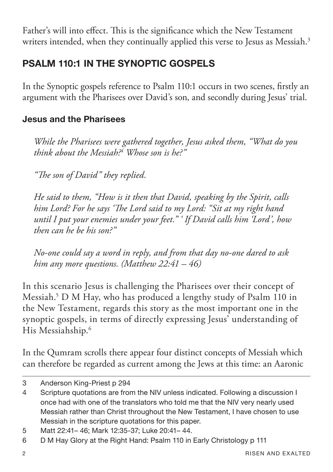Father's will into effect. This is the significance which the New Testament writers intended, when they continually applied this verse to Jesus as Messiah.<sup>3</sup>

## **PSALM 110:1 IN THE SYNOPTIC GOSPELS**

In the Synoptic gospels reference to Psalm 110:1 occurs in two scenes, frstly an argument with the Pharisees over David's son, and secondly during Jesus' trial.

#### **Jesus and the Pharisees**

*While the Pharisees were gathered together, Jesus asked them, "What do you think about the Messiah?4 Whose son is he?"*

*"Te son of David" they replied.*

*He said to them, "How is it then that David, speaking by the Spirit, calls him Lord? For he says 'Te Lord said to my Lord: "Sit at my right hand until I put your enemies under your feet." ' If David calls him 'Lord', how then can he be his son?"*

*No-one could say a word in reply, and from that day no-one dared to ask him any more questions. (Matthew 22:41 – 46)* 

In this scenario Jesus is challenging the Pharisees over their concept of Messiah.5 D M Hay, who has produced a lengthy study of Psalm 110 in the New Testament, regards this story as the most important one in the synoptic gospels, in terms of directly expressing Jesus' understanding of His Messiahship.6

In the Qumram scrolls there appear four distinct concepts of Messiah which can therefore be regarded as current among the Jews at this time: an Aaronic

<sup>3</sup> Anderson King-Priest p 294

<sup>4</sup> Scripture quotations are from the NIV unless indicated. Following a discussion I once had with one of the translators who told me that the NIV very nearly used Messiah rather than Christ throughout the New Testament, I have chosen to use Messiah in the scripture quotations for this paper.

<sup>5</sup> Matt 22:41– 46; Mark 12:35-37; Luke 20:41– 44.

<sup>6</sup> D M Hay Glory at the Right Hand: Psalm 110 in Early Christology p 111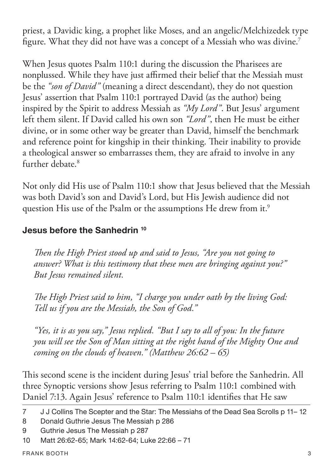priest, a Davidic king, a prophet like Moses, and an angelic/Melchizedek type figure. What they did not have was a concept of a Messiah who was divine.<sup>7</sup>

When Jesus quotes Psalm 110:1 during the discussion the Pharisees are nonplussed. While they have just afrmed their belief that the Messiah must be the *"son of David"* (meaning a direct descendant), they do not question Jesus' assertion that Psalm 110:1 portrayed David (as the author) being inspired by the Spirit to address Messiah as *"My Lord"*. But Jesus' argument left them silent. If David called his own son *"Lord"*, then He must be either divine, or in some other way be greater than David, himself the benchmark and reference point for kingship in their thinking. Their inability to provide a theological answer so embarrasses them, they are afraid to involve in any further debate.<sup>8</sup>

Not only did His use of Psalm 110:1 show that Jesus believed that the Messiah was both David's son and David's Lord, but His Jewish audience did not question His use of the Psalm or the assumptions He drew from it.<sup>9</sup>

#### **Jesus before the Sanhedrin 10**

*Ten the High Priest stood up and said to Jesus, "Are you not going to answer? What is this testimony that these men are bringing against you?" But Jesus remained silent.*

*Te High Priest said to him, "I charge you under oath by the living God: Tell us if you are the Messiah, the Son of God."*

*"Yes, it is as you say," Jesus replied. "But I say to all of you: In the future you will see the Son of Man sitting at the right hand of the Mighty One and coming on the clouds of heaven." (Matthew 26:62 – 65)*

This second scene is the incident during Jesus' trial before the Sanhedrin. All three Synoptic versions show Jesus referring to Psalm 110:1 combined with Daniel 7:13. Again Jesus' reference to Psalm 110:1 identifes that He saw

<sup>7</sup> J J Collins The Scepter and the Star: The Messiahs of the Dead Sea Scrolls p 11-12

<sup>8</sup> Donald Guthrie Jesus The Messiah p 286

<sup>9</sup> Guthrie Jesus The Messiah p 287

<sup>10</sup> Matt 26:62-65; Mark 14:62-64; Luke 22:66 – 71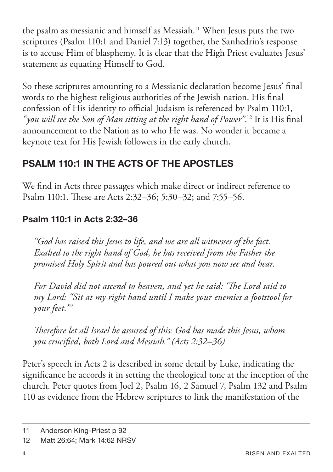the psalm as messianic and himself as Messiah.11 When Jesus puts the two scriptures (Psalm 110:1 and Daniel 7:13) together, the Sanhedrin's response is to accuse Him of blasphemy. It is clear that the High Priest evaluates Jesus' statement as equating Himself to God.

So these scriptures amounting to a Messianic declaration become Jesus' fnal words to the highest religious authorities of the Jewish nation. His fnal confession of His identity to official Judaism is referenced by Psalm 110:1, *"you will see the Son of Man sitting at the right hand of Power"*. 12 It is His fnal announcement to the Nation as to who He was. No wonder it became a keynote text for His Jewish followers in the early church.

## **PSALM 110:1 IN THE ACTS OF THE APOSTLES**

We fnd in Acts three passages which make direct or indirect reference to Psalm 110:1. These are Acts 2:32–36; 5:30–32; and 7:55–56.

#### **Psalm 110:1 in Acts 2:32–36**

*"God has raised this Jesus to life, and we are all witnesses of the fact. Exalted to the right hand of God, he has received from the Father the promised Holy Spirit and has poured out what you now see and hear.* 

*For David did not ascend to heaven, and yet he said: 'Te Lord said to my Lord: "Sit at my right hand until I make your enemies a footstool for your feet."'*

*Terefore let all Israel be assured of this: God has made this Jesus, whom you crucifed, both Lord and Messiah." (Acts 2:32–36)*

Peter's speech in Acts 2 is described in some detail by Luke, indicating the signifcance he accords it in setting the theological tone at the inception of the church. Peter quotes from Joel 2, Psalm 16, 2 Samuel 7, Psalm 132 and Psalm 110 as evidence from the Hebrew scriptures to link the manifestation of the

<sup>11</sup> Anderson King-Priest p 92

<sup>12</sup> Matt 26:64; Mark 14:62 NRSV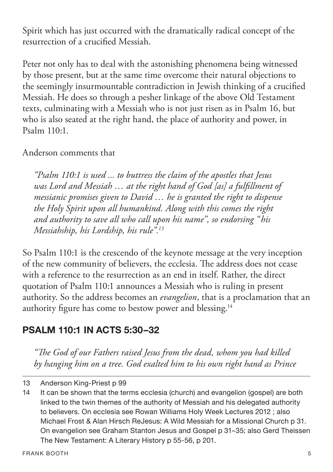Spirit which has just occurred with the dramatically radical concept of the resurrection of a crucifed Messiah.

Peter not only has to deal with the astonishing phenomena being witnessed by those present, but at the same time overcome their natural objections to the seemingly insurmountable contradiction in Jewish thinking of a crucifed Messiah. He does so through a pesher linkage of the above Old Testament texts, culminating with a Messiah who is not just risen as in Psalm 16, but who is also seated at the right hand, the place of authority and power, in Psalm 110:1.

Anderson comments that

*"Psalm 110:1 is used ... to buttress the claim of the apostles that Jesus was Lord and Messiah … at the right hand of God [as] a fulfllment of messianic promises given to David … he is granted the right to dispense the Holy Spirit upon all humankind. Along with this comes the right and authority to save all who call upon his name", so endorsing "his Messiahship, his Lordship, his rule".13*

So Psalm 110:1 is the crescendo of the keynote message at the very inception of the new community of believers, the ecclesia. The address does not cease with a reference to the resurrection as an end in itself. Rather, the direct quotation of Psalm 110:1 announces a Messiah who is ruling in present authority. So the address becomes an *evangelion*, that is a proclamation that an authority fgure has come to bestow power and blessing.14

## **PSALM 110:1 IN ACTS 5:30–32**

*"Te God of our Fathers raised Jesus from the dead, whom you had killed by hanging him on a tree. God exalted him to his own right hand as Prince* 

<sup>13</sup> Anderson King-Priest p 99

<sup>14</sup> It can be shown that the terms ecclesia (church) and evangelion (gospel) are both linked to the twin themes of the authority of Messiah and his delegated authority to believers. On ecclesia see Rowan Williams Holy Week Lectures 2012 ; also Michael Frost & Alan Hirsch ReJesus: A Wild Messiah for a Missional Church p 31. On evangelion see Graham Stanton Jesus and Gospel p 31–35; also Gerd Theissen The New Testament: A Literary History p 55-56, p 201.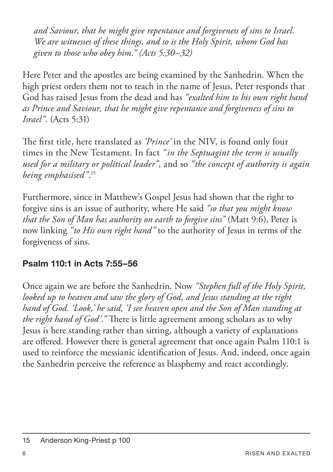*and Saviour, that he might give repentance and forgiveness of sins to Israel. We are witnesses of these things, and so is the Holy Spirit, whom God has given to those who obey him." (Acts 5:30–32)*

Here Peter and the apostles are being examined by the Sanhedrin. When the high priest orders them not to teach in the name of Jesus, Peter responds that God has raised Jesus from the dead and has *"exalted him to his own right hand as Prince and Saviour, that he might give repentance and forgiveness of sins to Israel"*. (Acts 5:31)

The first title, here translated as *'Prince'* in the NIV, is found only four times in the New Testament. In fact *"in the Septuagint the term is usually used for a military or political leader"*, and so *"the concept of authority is again being emphasised"*. 15

Furthermore, since in Matthew's Gospel Jesus had shown that the right to forgive sins is an issue of authority, where He said *"so that you might know that the Son of Man has authority on earth to forgive sins"* (Matt 9:6), Peter is now linking *"to His own right hand"* to the authority of Jesus in terms of the forgiveness of sins.

#### **Psalm 110:1 in Acts 7:55–56**

Once again we are before the Sanhedrin. Now *"Stephen full of the Holy Spirit, looked up to heaven and saw the glory of God, and Jesus standing at the right hand of God. 'Look,' he said, 'I see heaven open and the Son of Man standing at the right hand of God'.*" There is little agreement among scholars as to why Jesus is here standing rather than sitting, although a variety of explanations are ofered. However there is general agreement that once again Psalm 110:1 is used to reinforce the messianic identifcation of Jesus. And, indeed, once again the Sanhedrin perceive the reference as blasphemy and react accordingly.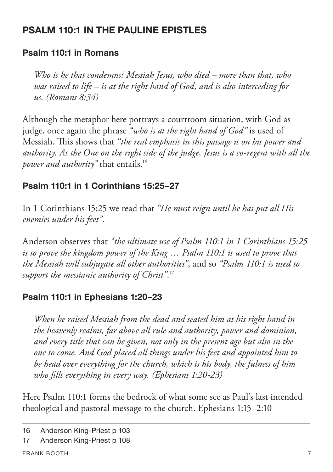## **PSALM 110:1 IN THE PALILINE EPISTLES**

#### **Psalm 110:1 in Romans**

*Who is he that condemns? Messiah Jesus, who died – more than that, who was raised to life – is at the right hand of God, and is also interceding for us. (Romans 8:34)*

Although the metaphor here portrays a courtroom situation, with God as judge, once again the phrase *"who is at the right hand of God"* is used of Messiah. This shows that "the real emphasis in this passage is on his power and *authority. As the One on the right side of the judge, Jesus is a co-regent with all the power and authority"* that entails.16

#### **Psalm 110:1 in 1 Corinthians 15:25–27**

In 1 Corinthians 15:25 we read that *"He must reign until he has put all His enemies under his feet"*.

Anderson observes that *"the ultimate use of Psalm 110:1 in 1 Corinthians 15:25 is to prove the kingdom power of the King … Psalm 110:1 is used to prove that the Messiah will subjugate all other authorities"*, and so *"Psalm 110:1 is used to support the messianic authority of Christ"*. 17

#### **Psalm 110:1 in Ephesians 1:20–23**

*When he raised Messiah from the dead and seated him at his right hand in the heavenly realms, far above all rule and authority, power and dominion, and every title that can be given, not only in the present age but also in the one to come. And God placed all things under his feet and appointed him to be head over everything for the church, which is his body, the fulness of him who flls everything in every way. (Ephesians 1:20-23)*

Here Psalm 110:1 forms the bedrock of what some see as Paul's last intended theological and pastoral message to the church. Ephesians 1:15–2:10

<sup>16</sup> Anderson King-Priest p 103

<sup>17</sup> Anderson King-Priest p 108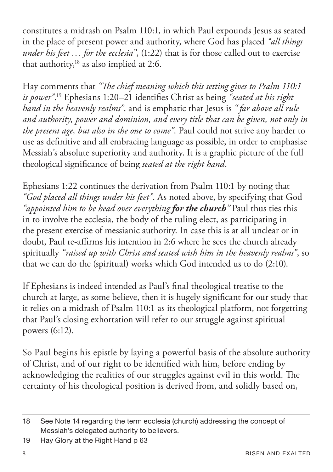constitutes a midrash on Psalm 110:1, in which Paul expounds Jesus as seated in the place of present power and authority, where God has placed *"all things under his feet … for the ecclesia"*, (1:22) that is for those called out to exercise that authority, $18$  as also implied at 2:6.

Hay comments that *"Te chief meaning which this setting gives to Psalm 110:1 is power"*. 19 Ephesians 1:20–21 identifes Christ as being *"seated at his right hand in the heavenly realms"*, and is emphatic that Jesus is *" far above all rule and authority, power and dominion, and every title that can be given, not only in the present age, but also in the one to come"*. Paul could not strive any harder to use as defnitive and all embracing language as possible, in order to emphasise Messiah's absolute superiority and authority. It is a graphic picture of the full theological signifcance of being *seated at the right hand*.

Ephesians 1:22 continues the derivation from Psalm 110:1 by noting that *"God placed all things under his feet"*. As noted above, by specifying that God *"appointed him to be head over everything for the church"* Paul thus ties this in to involve the ecclesia, the body of the ruling elect, as participating in the present exercise of messianic authority. In case this is at all unclear or in doubt, Paul re-affirms his intention in 2:6 where he sees the church already spiritually *"raised up with Christ and seated with him in the heavenly realms"*, so that we can do the (spiritual) works which God intended us to do (2:10).

If Ephesians is indeed intended as Paul's fnal theological treatise to the church at large, as some believe, then it is hugely signifcant for our study that it relies on a midrash of Psalm 110:1 as its theological platform, not forgetting that Paul's closing exhortation will refer to our struggle against spiritual powers (6:12).

So Paul begins his epistle by laying a powerful basis of the absolute authority of Christ, and of our right to be identifed with him, before ending by acknowledging the realities of our struggles against evil in this world. The certainty of his theological position is derived from, and solidly based on,

<sup>18</sup> See Note 14 regarding the term ecclesia (church) addressing the concept of Messiah's delegated authority to believers.

<sup>19</sup> Hay Glory at the Right Hand p 63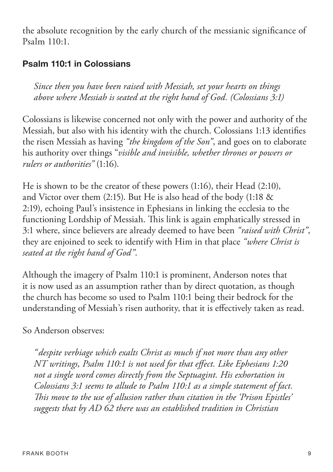the absolute recognition by the early church of the messianic signifcance of Psalm 110:1.

#### **Psalm 110:1 in Colossians**

*Since then you have been raised with Messiah, set your hearts on things above where Messiah is seated at the right hand of God. (Colossians 3:1)*

Colossians is likewise concerned not only with the power and authority of the Messiah, but also with his identity with the church. Colossians 1:13 identifes the risen Messiah as having *"the kingdom of the Son"*, and goes on to elaborate his authority over things "*visible and invisible, whether thrones or powers or rulers or authorities"* (1:16).

He is shown to be the creator of these powers (1:16), their Head (2:10), and Victor over them (2:15). But He is also head of the body (1:18 & 2:19), echoing Paul's insistence in Ephesians in linking the ecclesia to the functioning Lordship of Messiah. This link is again emphatically stressed in 3:1 where, since believers are already deemed to have been *"raised with Christ"*, they are enjoined to seek to identify with Him in that place *"where Christ is seated at the right hand of God"*.

Although the imagery of Psalm 110:1 is prominent, Anderson notes that it is now used as an assumption rather than by direct quotation, as though the church has become so used to Psalm 110:1 being their bedrock for the understanding of Messiah's risen authority, that it is efectively taken as read.

#### So Anderson observes:

*"despite verbiage which exalts Christ as much if not more than any other NT writings, Psalm 110:1 is not used for that efect. Like Ephesians 1:20 not a single word comes directly from the Septuagint. His exhortation in Colossians 3:1 seems to allude to Psalm 110:1 as a simple statement of fact. Tis move to the use of allusion rather than citation in the 'Prison Epistles' suggests that by AD 62 there was an established tradition in Christian*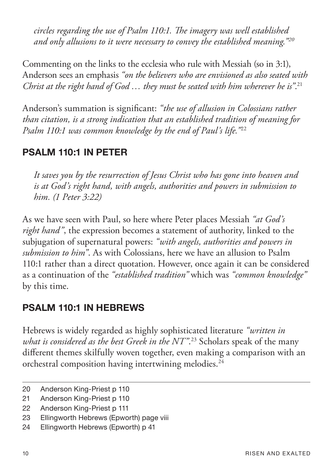*circles regarding the use of Psalm 110:1. Te imagery was well established and only allusions to it were necessary to convey the established meaning."20*

Commenting on the links to the ecclesia who rule with Messiah (so in 3:1), Anderson sees an emphasis *"on the believers who are envisioned as also seated with Christ at the right hand of God … they must be seated with him wherever he is"*. 21

Anderson's summation is signifcant: *"the use of allusion in Colossians rather than citation, is a strong indication that an established tradition of meaning for Psalm 110:1 was common knowledge by the end of Paul's life."*<sup>22</sup>

## **PSALM 110:1 IN PETER**

*It saves you by the resurrection of Jesus Christ who has gone into heaven and is at God's right hand, with angels, authorities and powers in submission to him. (1 Peter 3:22)*

As we have seen with Paul, so here where Peter places Messiah *"at God's right hand"*, the expression becomes a statement of authority, linked to the subjugation of supernatural powers: *"with angels, authorities and powers in submission to him"*. As with Colossians, here we have an allusion to Psalm 110:1 rather than a direct quotation. However, once again it can be considered as a continuation of the *"established tradition"* which was *"common knowledge"* by this time.

## **PSALM 110:1 IN HEBREWS**

Hebrews is widely regarded as highly sophisticated literature *"written in what is considered as the best Greek in the NT"*. 23 Scholars speak of the many diferent themes skilfully woven together, even making a comparison with an orchestral composition having intertwining melodies.<sup>24</sup>

<sup>20</sup> Anderson King-Priest p 110

<sup>21</sup> Anderson King-Priest p 110

<sup>22</sup> Anderson King-Priest p 111

<sup>23</sup> Ellingworth Hebrews (Epworth) page viii

<sup>24</sup> Ellingworth Hebrews (Epworth) p 41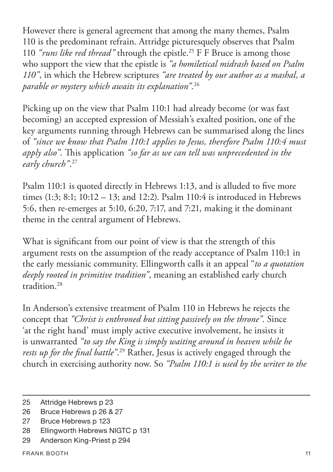However there is general agreement that among the many themes, Psalm 110 is the predominant refrain. Attridge picturesquely observes that Psalm 110 *"runs like red thread"* through the epistle.25 F F Bruce is among those who support the view that the epistle is *"a homiletical midrash based on Psalm 110"*, in which the Hebrew scriptures *"are treated by our author as a mashal, a parable or mystery which awaits its explanation"*. 26

Picking up on the view that Psalm 110:1 had already become (or was fast becoming) an accepted expression of Messiah's exalted position, one of the key arguments running through Hebrews can be summarised along the lines of *"since we know that Psalm 110:1 applies to Jesus, therefore Psalm 110:4 must*  apply also". This application "so far as we can tell was unprecedented in the *early church"*. 27

Psalm 110:1 is quoted directly in Hebrews 1:13, and is alluded to fve more times (1:3; 8:1; 10:12 – 13; and 12:2). Psalm 110:4 is introduced in Hebrews 5:6, then re-emerges at 5:10, 6:20, 7:17, and 7:21, making it the dominant theme in the central argument of Hebrews.

What is signifcant from our point of view is that the strength of this argument rests on the assumption of the ready acceptance of Psalm 110:1 in the early messianic community. Ellingworth calls it an appeal "*to a quotation deeply rooted in primitive tradition"*, meaning an established early church tradition.28

In Anderson's extensive treatment of Psalm 110 in Hebrews he rejects the concept that *"Christ is enthroned but sitting passively on the throne"*. Since 'at the right hand' must imply active executive involvement, he insists it is unwarranted *"to say the King is simply waiting around in heaven while he rests up for the fnal battle"*. 29 Rather, Jesus is actively engaged through the church in exercising authority now. So *"Psalm 110:1 is used by the writer to the* 

<sup>25</sup> Attridge Hebrews p 23

<sup>26</sup> Bruce Hebrews p 26 & 27

<sup>27</sup> Bruce Hebrews p 123

<sup>28</sup> Ellingworth Hebrews NIGTC p 131

<sup>29</sup> Anderson King-Priest p 294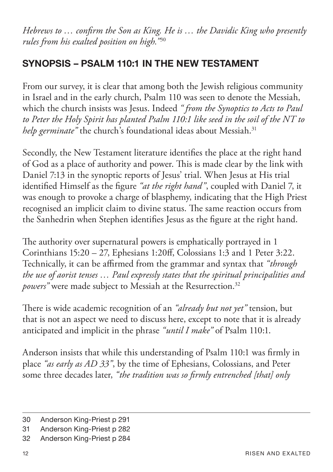*Hebrews to … confrm the Son as King. He is … the Davidic King who presently rules from his exalted position on high."*<sup>30</sup>

## **SYNOPSIS – PSALM 110:1 IN THE NEW TESTAMENT**

From our survey, it is clear that among both the Jewish religious community in Israel and in the early church, Psalm 110 was seen to denote the Messiah, which the church insists was Jesus. Indeed *" from the Synoptics to Acts to Paul to Peter the Holy Spirit has planted Psalm 110:1 like seed in the soil of the NT to help germinate*" the church's foundational ideas about Messiah.<sup>31</sup>

Secondly, the New Testament literature identifes the place at the right hand of God as a place of authority and power. This is made clear by the link with Daniel 7:13 in the synoptic reports of Jesus' trial. When Jesus at His trial identifed Himself as the fgure *"at the right hand"*, coupled with Daniel 7, it was enough to provoke a charge of blasphemy, indicating that the High Priest recognised an implicit claim to divine status. The same reaction occurs from the Sanhedrin when Stephen identifes Jesus as the fgure at the right hand.

The authority over supernatural powers is emphatically portrayed in 1 Corinthians 15:20 – 27, Ephesians 1:20f, Colossians 1:3 and 1 Peter 3:22. Technically, it can be affirmed from the grammar and syntax that "through *the use of aorist tenses … Paul expressly states that the spiritual principalities and powers*" were made subject to Messiah at the Resurrection.<sup>32</sup>

There is wide academic recognition of an *"already but not yet"* tension, but that is not an aspect we need to discuss here, except to note that it is already anticipated and implicit in the phrase *"until I make"* of Psalm 110:1.

Anderson insists that while this understanding of Psalm 110:1 was frmly in place *"as early as AD 33"*, by the time of Ephesians, Colossians, and Peter some three decades later, *"the tradition was so frmly entrenched [that] only* 

<sup>30</sup> Anderson King-Priest p 291

<sup>31</sup> Anderson King-Priest p 282

<sup>32</sup> Anderson King-Priest p 284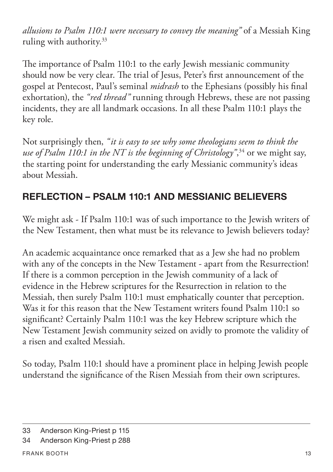*allusions to Psalm 110:1 were necessary to convey the meaning"* of a Messiah King ruling with authority.33

The importance of Psalm 110:1 to the early Jewish messianic community should now be very clear. The trial of Jesus, Peter's first announcement of the gospel at Pentecost, Paul's seminal *midrash* to the Ephesians (possibly his fnal exhortation), the *"red thread"* running through Hebrews, these are not passing incidents, they are all landmark occasions. In all these Psalm 110:1 plays the key role.

Not surprisingly then, *"it is easy to see why some theologians seem to think the use of Psalm 110:1 in the NT is the beginning of Christology"*, 34 or we might say, the starting point for understanding the early Messianic community's ideas about Messiah.

# **REFLECTION – PSALM 110:1 AND MESSIANIC BELIEVERS**

We might ask - If Psalm 110:1 was of such importance to the Jewish writers of the New Testament, then what must be its relevance to Jewish believers today?

An academic acquaintance once remarked that as a Jew she had no problem with any of the concepts in the New Testament - apart from the Resurrection! If there is a common perception in the Jewish community of a lack of evidence in the Hebrew scriptures for the Resurrection in relation to the Messiah, then surely Psalm 110:1 must emphatically counter that perception. Was it for this reason that the New Testament writers found Psalm 110:1 so signifcant? Certainly Psalm 110:1 was the key Hebrew scripture which the New Testament Jewish community seized on avidly to promote the validity of a risen and exalted Messiah.

So today, Psalm 110:1 should have a prominent place in helping Jewish people understand the signifcance of the Risen Messiah from their own scriptures.

<sup>33</sup> Anderson King-Priest p 115

<sup>34</sup> Anderson King-Priest p 288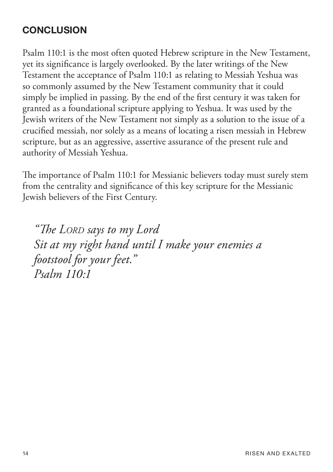## **CONCLUSION**

Psalm 110:1 is the most often quoted Hebrew scripture in the New Testament, yet its signifcance is largely overlooked. By the later writings of the New Testament the acceptance of Psalm 110:1 as relating to Messiah Yeshua was so commonly assumed by the New Testament community that it could simply be implied in passing. By the end of the frst century it was taken for granted as a foundational scripture applying to Yeshua. It was used by the Jewish writers of the New Testament not simply as a solution to the issue of a crucifed messiah, nor solely as a means of locating a risen messiah in Hebrew scripture, but as an aggressive, assertive assurance of the present rule and authority of Messiah Yeshua.

The importance of Psalm 110:1 for Messianic believers today must surely stem from the centrality and signifcance of this key scripture for the Messianic Jewish believers of the First Century.

*"Te LORD says to my Lord Sit at my right hand until I make your enemies a footstool for your feet." Psalm 110:1*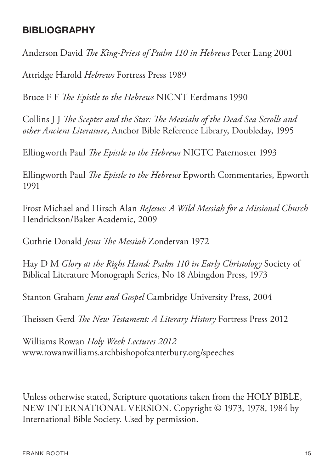#### **BIBLIOGRAPHY**

Anderson David *Te King-Priest of Psalm 110 in Hebrews* Peter Lang 2001

Attridge Harold *Hebrews* Fortress Press 1989

Bruce F F *Te Epistle to the Hebrews* NICNT Eerdmans 1990

Collins J J *Te Scepter and the Star: Te Messiahs of the Dead Sea Scrolls and other Ancient Literature*, Anchor Bible Reference Library, Doubleday, 1995

Ellingworth Paul *Te Epistle to the Hebrews* NIGTC Paternoster 1993

Ellingworth Paul *Te Epistle to the Hebrews* Epworth Commentaries, Epworth 1991

Frost Michael and Hirsch Alan *ReJesus: A Wild Messiah for a Missional Church* Hendrickson/Baker Academic, 2009

Guthrie Donald *Jesus Te Messiah* Zondervan 1972

Hay D M *Glory at the Right Hand: Psalm 110 in Early Christology* Society of Biblical Literature Monograph Series, No 18 Abingdon Press, 1973

Stanton Graham *Jesus and Gospel* Cambridge University Press, 2004

Theissen Gerd *The New Testament: A Literary History* Fortress Press 2012

Williams Rowan *Holy Week Lectures 2012* www.rowanwilliams.archbishopofcanterbury.org/speeches

Unless otherwise stated, Scripture quotations taken from the HOLY BIBLE, NEW INTERNATIONAL VERSION. Copyright © 1973, 1978, 1984 by International Bible Society. Used by permission.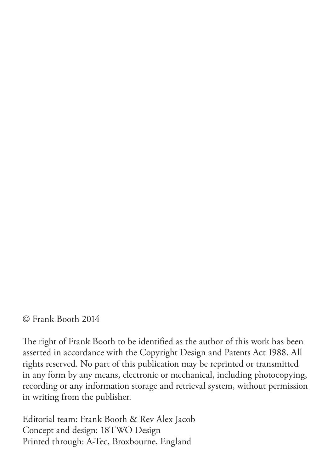© Frank Booth 2014

The right of Frank Booth to be identified as the author of this work has been asserted in accordance with the Copyright Design and Patents Act 1988. All rights reserved. No part of this publication may be reprinted or transmitted in any form by any means, electronic or mechanical, including photocopying, recording or any information storage and retrieval system, without permission in writing from the publisher.

Editorial team: Frank Booth & Rev Alex Jacob Concept and design: 18TWO Design Printed through: A-Tec, Broxbourne, England